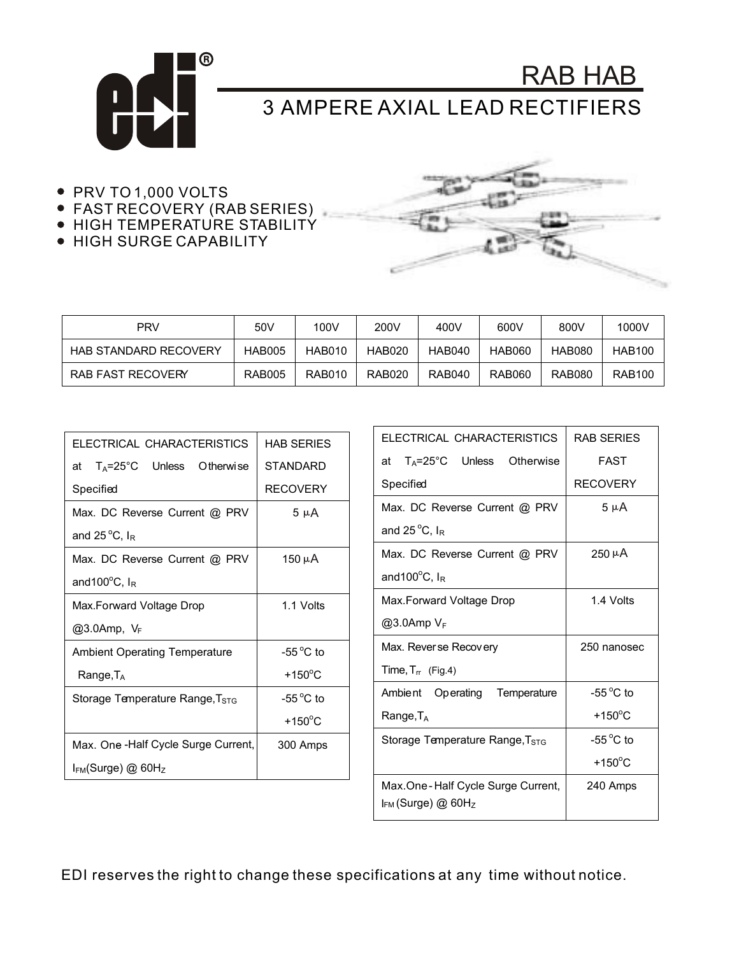

RAB HAB 3 AMPERE AXIAL LEAD RECTIFIERS

- PRV TO 1,000 VOLTS
- FAST RECOVERY (RAB SERIES)
- **HIGH TEMPERATURE STABILITY**
- **HIGH SURGE CAPABILITY**



| <b>PRV</b>                   | 50V           | 100V          | 200V          | 400V          | 600V          | 800V          | 1000V         |
|------------------------------|---------------|---------------|---------------|---------------|---------------|---------------|---------------|
| <b>HAB STANDARD RECOVERY</b> | <b>HAB005</b> | HAB010        | <b>HAB020</b> | <b>HAB040</b> | <b>HAB060</b> | <b>HAB080</b> | <b>HAB100</b> |
| RAB FAST RECOVERY            | <b>RAB005</b> | <b>RAB010</b> | <b>RAB020</b> | <b>RAB040</b> | <b>RAB060</b> | <b>RAB080</b> | <b>RAB100</b> |

| ELECTRICAL CHARACTERISTICS                     | HAB SERIES          |  |  |
|------------------------------------------------|---------------------|--|--|
| $T_A = 25^{\circ}$ C Unless Otherwise<br>at    | <b>STANDARD</b>     |  |  |
| Specified                                      | <b>RECOVERY</b>     |  |  |
| Max. DC Reverse Current @ PRV                  | 5 µ A               |  |  |
| and 25 $\mathrm{^{\circ}C}$ , $I_{\mathrm{R}}$ |                     |  |  |
| Max. DC Reverse Current @ PRV                  | 150 µA              |  |  |
| and 100 $\rm{^oC}$ , $I_R$                     |                     |  |  |
| Max.Forward Voltage Drop                       | 1.1 Volts           |  |  |
| @3.0Amp, VF                                    |                     |  |  |
| <b>Ambient Operating Temperature</b>           | -55 $^{\circ}$ C to |  |  |
| Range, TA                                      | $+150^{\circ}$ C    |  |  |
| Storage Temperature Range, T <sub>STG</sub>    | -55 $^{\circ}$ C to |  |  |
|                                                | $+150^{\circ}$ C    |  |  |
| Max. One -Half Cycle Surge Current,            | 300 Amps            |  |  |
| $I_{FM}$ (Surge) @ 60H $_Z$                    |                     |  |  |

| ELECTRICAL CHARACTERISTICS                                               | <b>RAB SERIES</b>  |  |  |
|--------------------------------------------------------------------------|--------------------|--|--|
| at $T_A = 25^{\circ}C$ Unless Otherwise                                  | FAST               |  |  |
| Specified                                                                | <b>RECOVERY</b>    |  |  |
| Max. DC Reverse Current @ PRV                                            | $5 \mu A$          |  |  |
| and 25 $\mathrm{^{\circ}C}$ , $I_{\mathrm{R}}$                           |                    |  |  |
| Max. DC Reverse Current @ PRV                                            | $250 \mu A$        |  |  |
| and $100^{\circ}$ C, $I_{R}$                                             |                    |  |  |
| Max.Forward Voltage Drop                                                 | 1.4 Volts          |  |  |
| $@3.0$ Amp $V_F$                                                         |                    |  |  |
| Max. Reverse Recovery                                                    | 250 nanosec        |  |  |
| Time, $T_{rr}$ (Fig.4)                                                   |                    |  |  |
| Ambient Operating Temperature                                            | $-55^{\circ}$ C to |  |  |
| $Range, T_A$                                                             | $+150^{\circ}$ C   |  |  |
| Storage Temperature Range, T <sub>STG</sub>                              | $-55^{\circ}$ C to |  |  |
|                                                                          | $+150^{\circ}$ C   |  |  |
| Max.One-Half Cycle Surge Current,<br>$I_{FM}$ (Surge) @ 60H <sub>z</sub> | 240 Amps           |  |  |

EDI reserves the right to change these specifications at any time without notice.